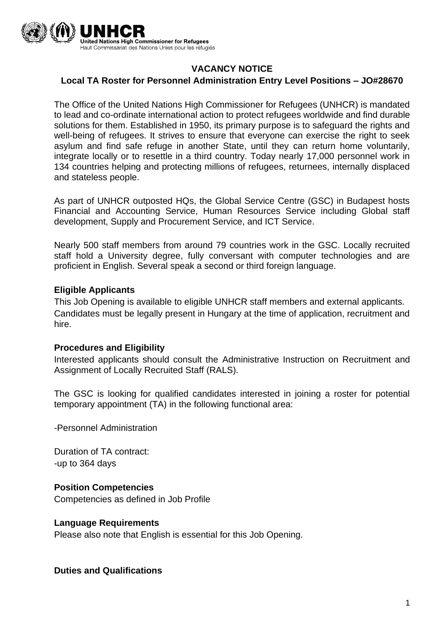

# **VACANCY NOTICE**

## **Local TA Roster for Personnel Administration Entry Level Positions – JO#28670**

The Office of the United Nations High Commissioner for Refugees (UNHCR) is mandated to lead and co-ordinate international action to protect refugees worldwide and find durable solutions for them. Established in 1950, its primary purpose is to safeguard the rights and well-being of refugees. It strives to ensure that everyone can exercise the right to seek asylum and find safe refuge in another State, until they can return home voluntarily, integrate locally or to resettle in a third country. Today nearly 17,000 personnel work in 134 countries helping and protecting millions of refugees, returnees, internally displaced and stateless people.

As part of UNHCR outposted HQs, the Global Service Centre (GSC) in Budapest hosts Financial and Accounting Service, Human Resources Service including Global staff development, Supply and Procurement Service, and ICT Service.

Nearly 500 staff members from around 79 countries work in the GSC. Locally recruited staff hold a University degree, fully conversant with computer technologies and are proficient in English. Several speak a second or third foreign language.

### **Eligible Applicants**

This Job Opening is available to eligible UNHCR staff members and external applicants. Candidates must be legally present in Hungary at the time of application, recruitment and hire.

### **Procedures and Eligibility**

Interested applicants should consult the Administrative Instruction on Recruitment and Assignment of Locally Recruited Staff (RALS).

The GSC is looking for qualified candidates interested in joining a roster for potential temporary appointment (TA) in the following functional area:

-Personnel Administration

Duration of TA contract: -up to 364 days

### **Position Competencies**

Competencies as defined in Job Profile

### **Language Requirements**

Please also note that English is essential for this Job Opening.

**Duties and Qualifications**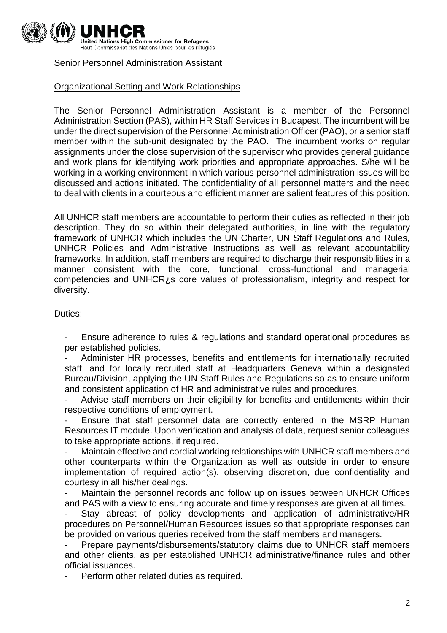

Senior Personnel Administration Assistant

# Organizational Setting and Work Relationships

The Senior Personnel Administration Assistant is a member of the Personnel Administration Section (PAS), within HR Staff Services in Budapest. The incumbent will be under the direct supervision of the Personnel Administration Officer (PAO), or a senior staff member within the sub-unit designated by the PAO. The incumbent works on regular assignments under the close supervision of the supervisor who provides general guidance and work plans for identifying work priorities and appropriate approaches. S/he will be working in a working environment in which various personnel administration issues will be discussed and actions initiated. The confidentiality of all personnel matters and the need to deal with clients in a courteous and efficient manner are salient features of this position.

All UNHCR staff members are accountable to perform their duties as reflected in their job description. They do so within their delegated authorities, in line with the regulatory framework of UNHCR which includes the UN Charter, UN Staff Regulations and Rules, UNHCR Policies and Administrative Instructions as well as relevant accountability frameworks. In addition, staff members are required to discharge their responsibilities in a manner consistent with the core, functional, cross-functional and managerial competencies and UNHCR¿s core values of professionalism, integrity and respect for diversity.

## Duties:

- Ensure adherence to rules & regulations and standard operational procedures as per established policies.

Administer HR processes, benefits and entitlements for internationally recruited staff, and for locally recruited staff at Headquarters Geneva within a designated Bureau/Division, applying the UN Staff Rules and Regulations so as to ensure uniform and consistent application of HR and administrative rules and procedures.

Advise staff members on their eligibility for benefits and entitlements within their respective conditions of employment.

Ensure that staff personnel data are correctly entered in the MSRP Human Resources IT module. Upon verification and analysis of data, request senior colleagues to take appropriate actions, if required.

Maintain effective and cordial working relationships with UNHCR staff members and other counterparts within the Organization as well as outside in order to ensure implementation of required action(s), observing discretion, due confidentiality and courtesy in all his/her dealings.

Maintain the personnel records and follow up on issues between UNHCR Offices and PAS with a view to ensuring accurate and timely responses are given at all times.

Stay abreast of policy developments and application of administrative/HR procedures on Personnel/Human Resources issues so that appropriate responses can be provided on various queries received from the staff members and managers.

Prepare payments/disbursements/statutory claims due to UNHCR staff members and other clients, as per established UNHCR administrative/finance rules and other official issuances.

Perform other related duties as required.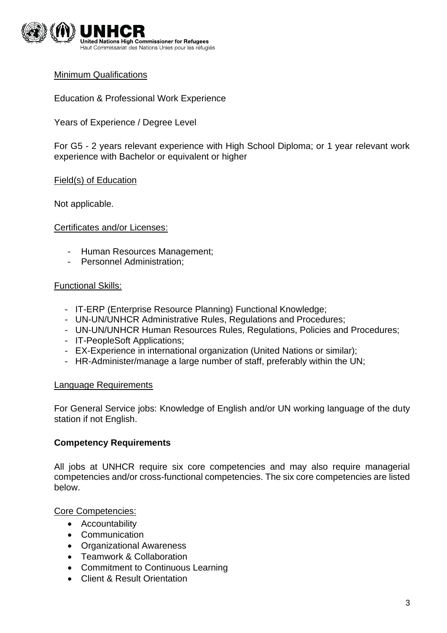

# Minimum Qualifications

Education & Professional Work Experience

Years of Experience / Degree Level

For G5 - 2 years relevant experience with High School Diploma; or 1 year relevant work experience with Bachelor or equivalent or higher

## Field(s) of Education

Not applicable.

### Certificates and/or Licenses:

- Human Resources Management;
- Personnel Administration;

### Functional Skills:

- IT-ERP (Enterprise Resource Planning) Functional Knowledge;
- UN-UN/UNHCR Administrative Rules, Regulations and Procedures;
- UN-UN/UNHCR Human Resources Rules, Regulations, Policies and Procedures;
- IT-PeopleSoft Applications;
- EX-Experience in international organization (United Nations or similar);
- HR-Administer/manage a large number of staff, preferably within the UN;

### Language Requirements

For General Service jobs: Knowledge of English and/or UN working language of the duty station if not English.

### **Competency Requirements**

All jobs at UNHCR require six core competencies and may also require managerial competencies and/or cross-functional competencies. The six core competencies are listed below.

Core Competencies:

- Accountability
- Communication
- Organizational Awareness
- Teamwork & Collaboration
- Commitment to Continuous Learning
- Client & Result Orientation